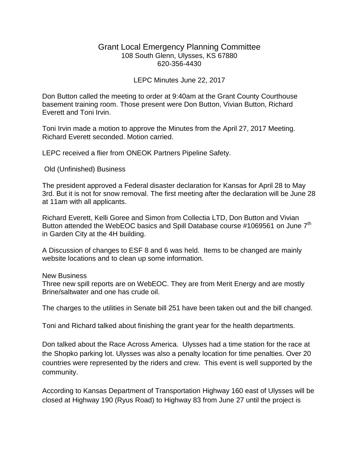## Grant Local Emergency Planning Committee 108 South Glenn, Ulysses, KS 67880 620-356-4430

## LEPC Minutes June 22, 2017

Don Button called the meeting to order at 9:40am at the Grant County Courthouse basement training room. Those present were Don Button, Vivian Button, Richard Everett and Toni Irvin.

Toni Irvin made a motion to approve the Minutes from the April 27, 2017 Meeting. Richard Everett seconded. Motion carried.

LEPC received a flier from ONEOK Partners Pipeline Safety.

Old (Unfinished) Business

The president approved a Federal disaster declaration for Kansas for April 28 to May 3rd. But it is not for snow removal. The first meeting after the declaration will be June 28 at 11am with all applicants.

Richard Everett, Kelli Goree and Simon from Collectia LTD, Don Button and Vivian Button attended the WebEOC basics and Spill Database course #1069561 on June 7<sup>th</sup> in Garden City at the 4H building.

A Discussion of changes to ESF 8 and 6 was held. Items to be changed are mainly website locations and to clean up some information.

New Business

Three new spill reports are on WebEOC. They are from Merit Energy and are mostly Brine/saltwater and one has crude oil.

The charges to the utilities in Senate bill 251 have been taken out and the bill changed.

Toni and Richard talked about finishing the grant year for the health departments.

Don talked about the Race Across America. Ulysses had a time station for the race at the Shopko parking lot. Ulysses was also a penalty location for time penalties. Over 20 countries were represented by the riders and crew. This event is well supported by the community.

According to Kansas Department of Transportation Highway 160 east of Ulysses will be closed at Highway 190 (Ryus Road) to Highway 83 from June 27 until the project is